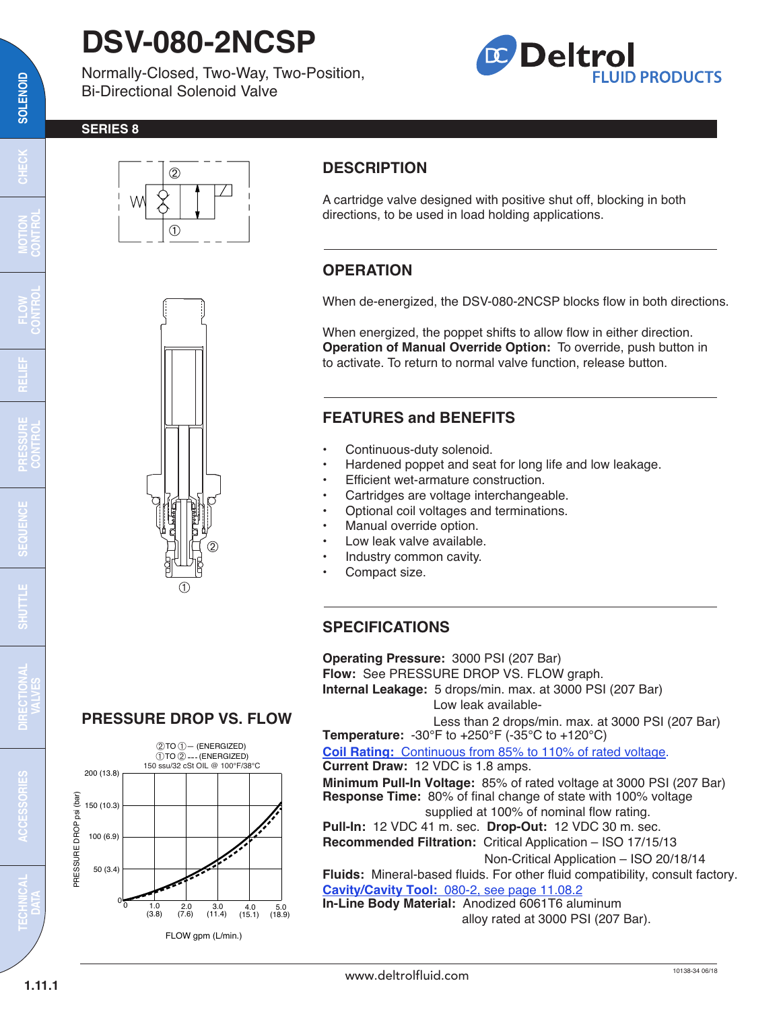# **DSV-080-2NCSP**

Normally-Closed, Two-Way, Two-Position, Bi-Directional Solenoid Valve

## **Deltrol FLUID PRODUCTS**

#### **SERIES 8**





### **DESCRIPTION**

A cartridge valve designed with positive shut off, blocking in both directions, to be used in load holding applications.

### **OPERATION**

When de-energized, the DSV-080-2NCSP blocks flow in both directions.

When energized, the poppet shifts to allow flow in either direction. **Operation of Manual Override Option:** To override, push button in to activate. To return to normal valve function, release button.

#### **FEATURES and BENEFITS**

- Continuous-duty solenoid.
- Hardened poppet and seat for long life and low leakage.
- Efficient wet-armature construction.
- Cartridges are voltage interchangeable.
- Optional coil voltages and terminations.
- Manual override option.
- Low leak valve available.
- Industry common cavity.
- Compact size.

#### **SPECIFICATIONS**

**Operating Pressure:** 3000 PSI (207 Bar) **Flow:** See PRESSURE DROP VS. FLOW graph. **Internal Leakage:** 5 drops/min. max. at 3000 PSI (207 Bar) Low leak available-

Less than 2 drops/min. max. at 3000 PSI (207 Bar) **Temperature:** -30°F to +250°F (-35°C to +120°C)

**Coil Rating:** [Continuous from 85% to 110% of rated voltage.](https://deltrolfluid.com/sites/default/files/cartridge/Series-10_Coil.pdf)

**Current Draw:** 12 VDC is 1.8 amps. **Minimum Pull-In Voltage:** 85% of rated voltage at 3000 PSI (207 Bar) **Response Time:** 80% of final change of state with 100% voltage

supplied at 100% of nominal flow rating.

**Pull-In:** 12 VDC 41 m. sec. **Drop-Out:** 12 VDC 30 m. sec. **Recommended Filtration:** Critical Application – ISO 17/15/13

Non-Critical Application – ISO 20/18/14

**Fluids:** Mineral-based fluids. For other fluid compatibility, consult factory. **Cavity/Cavity Tool:** [080-2, see page 11.08.2](http://www.deltrolfluid.com/sites/default/files/cartridge/080-2_Cavity.pdf)

**In-Line Body Material:** Anodized 6061T6 aluminum alloy rated at 3000 PSI (207 Bar).

### **PRESSURE DROP VS. FLOW**



FLOW gpm (L/min.)

**ACCESSORIES**

**TECHNICAL**

**1.11.1**

**DATA**